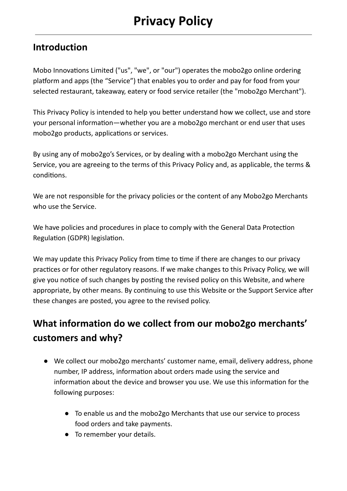#### Introduction

Mobo Innovations Limited ("us", "we", or "our") operates the mobo2go online ordering platform and apps (the "Service") that enables you to order and pay for food from your selected restaurant, takeaway, eatery or food service retailer (the "mobo2go Merchant").

This Privacy Policy is intended to help you better understand how we collect, use and store your personal information—whether you are a mobo2go merchant or end user that uses mobo2go products, applications or services.

By using any of mobo2go's Services, or by dealing with a mobo2go Merchant using the Service, you are agreeing to the terms of this Privacy Policy and, as applicable, the terms & conditions.

We are not responsible for the privacy policies or the content of any Mobo2go Merchants who use the Service.

We have policies and procedures in place to comply with the General Data Protection Regulation (GDPR) legislation.

We may update this Privacy Policy from time to time if there are changes to our privacy practices or for other regulatory reasons. If we make changes to this Privacy Policy, we will give you notice of such changes by posting the revised policy on this Website, and where appropriate, by other means. By continuing to use this Website or the Support Service after these changes are posted, you agree to the revised policy.

# What information do we collect from our mobo2go merchants' customers and why?

- We collect our mobo2go merchants' customer name, email, delivery address, phone number, IP address, information about orders made using the service and information about the device and browser you use. We use this information for the following purposes:
	- To enable us and the mobo2go Merchants that use our service to process food orders and take payments.
	- To remember your details.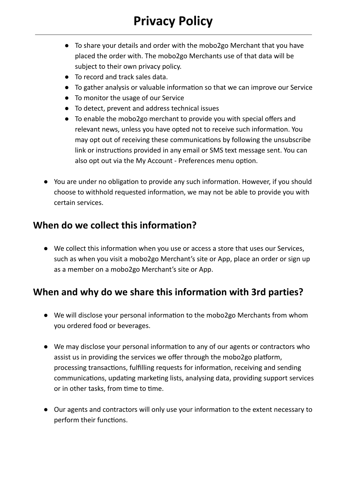- To share your details and order with the mobo2go Merchant that you have placed the order with. The mobo2go Merchants use of that data will be subject to their own privacy policy.
- To record and track sales data.
- To gather analysis or valuable information so that we can improve our Service
- To monitor the usage of our Service
- To detect, prevent and address technical issues
- To enable the mobo2go merchant to provide you with special offers and relevant news, unless you have opted not to receive such information. You may opt out of receiving these communications by following the unsubscribe link or instructions provided in any email or SMS text message sent. You can also opt out via the My Account - Preferences menu option.
- You are under no obligation to provide any such information. However, if you should choose to withhold requested information, we may not be able to provide you with certain services.

## When do we collect this information?

• We collect this information when you use or access a store that uses our Services, such as when you visit a mobo2go Merchant's site or App, place an order or sign up as a member on a mobo2go Merchant's site or App.

# When and why do we share this information with 3rd parties?

- We will disclose your personal information to the mobo2go Merchants from whom you ordered food or beverages.
- We may disclose your personal information to any of our agents or contractors who assist us in providing the services we offer through the mobo2go platform, processing transactions, fulfilling requests for information, receiving and sending communications, updating marketing lists, analysing data, providing support services or in other tasks, from time to time.
- Our agents and contractors will only use your information to the extent necessary to perform their functions.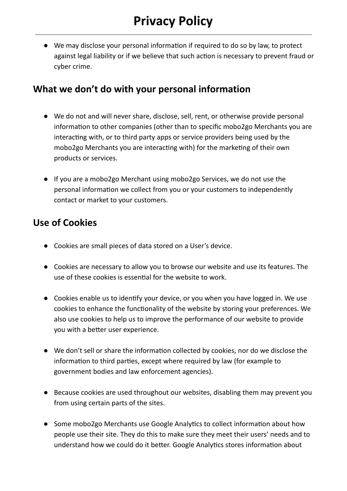• We may disclose your personal information if required to do so by law, to protect against legal liability or if we believe that such action is necessary to prevent fraud or cyber crime.

#### What we don't do with your personal information

- We do not and will never share, disclose, sell, rent, or otherwise provide personal information to other companies (other than to specific mobo2go Merchants you are interacting with, or to third party apps or service providers being used by the mobo2go Merchants you are interacting with) for the marketing of their own products or services.
- If you are a mobo2go Merchant using mobo2go Services, we do not use the personal information we collect from you or your customers to independently contact or market to your customers.

### Use of Cookies

- Cookies are small pieces of data stored on a User's device.
- Cookies are necessary to allow you to browse our website and use its features. The use of these cookies is essential for the website to work.
- Cookies enable us to identify your device, or you when you have logged in. We use cookies to enhance the functionality of the website by storing your preferences. We also use cookies to help us to improve the performance of our website to provide you with a better user experience.
- We don't sell or share the information collected by cookies, nor do we disclose the information to third parties, except where required by law (for example to government bodies and law enforcement agencies).
- Because cookies are used throughout our websites, disabling them may prevent you from using certain parts of the sites.
- Some mobo2go Merchants use Google Analytics to collect information about how people use their site. They do this to make sure they meet their users' needs and to understand how we could do it better. Google Analytics stores information about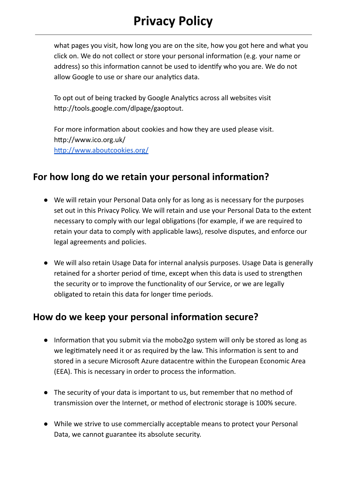# Privacy Policy

what pages you visit, how long you are on the site, how you got here and what you click on. We do not collect or store your personal information (e.g. your name or address) so this information cannot be used to identify who you are. We do not allow Google to use or share our analytics data.

To opt out of being tracked by Google Analytics across all websites visit http://tools.google.com/dlpage/gaoptout.

For more information about cookies and how they are used please visit. hp://www.ico.org.uk/ http://www.aboutcookies.org/

#### For how long do we retain your personal information?

- We will retain your Personal Data only for as long as is necessary for the purposes set out in this Privacy Policy. We will retain and use your Personal Data to the extent necessary to comply with our legal obligations (for example, if we are required to retain your data to comply with applicable laws), resolve disputes, and enforce our legal agreements and policies.
- We will also retain Usage Data for internal analysis purposes. Usage Data is generally retained for a shorter period of time, except when this data is used to strengthen the security or to improve the functionality of our Service, or we are legally obligated to retain this data for longer time periods.

#### How do we keep your personal information secure?

- Information that you submit via the mobo2go system will only be stored as long as we legitimately need it or as required by the law. This information is sent to and stored in a secure Microsoft Azure datacentre within the European Economic Area (EEA). This is necessary in order to process the information.
- The security of your data is important to us, but remember that no method of transmission over the Internet, or method of electronic storage is 100% secure.
- While we strive to use commercially acceptable means to protect your Personal Data, we cannot guarantee its absolute security.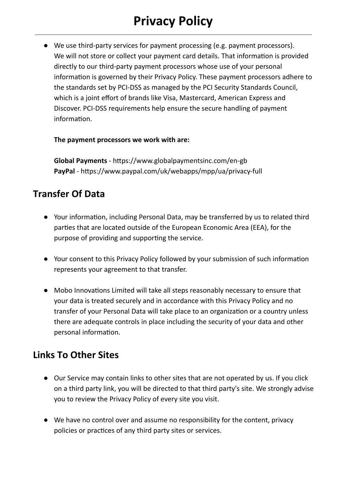# Privacy Policy

● We use third-party services for payment processing (e.g. payment processors). We will not store or collect your payment card details. That information is provided directly to our third-party payment processors whose use of your personal information is governed by their Privacy Policy. These payment processors adhere to the standards set by PCI-DSS as managed by the PCI Security Standards Council, which is a joint effort of brands like Visa, Mastercard, American Express and Discover. PCI-DSS requirements help ensure the secure handling of payment information.

#### The payment processors we work with are:

Global Payments - https://www.globalpaymentsinc.com/en-gb PayPal - https://www.paypal.com/uk/webapps/mpp/ua/privacy-full

### Transfer Of Data

- Your information, including Personal Data, may be transferred by us to related third parties that are located outside of the European Economic Area (EEA), for the purpose of providing and supporting the service.
- Your consent to this Privacy Policy followed by your submission of such information represents your agreement to that transfer.
- Mobo Innovations Limited will take all steps reasonably necessary to ensure that your data is treated securely and in accordance with this Privacy Policy and no transfer of your Personal Data will take place to an organization or a country unless there are adequate controls in place including the security of your data and other personal information.

#### Links To Other Sites

- Our Service may contain links to other sites that are not operated by us. If you click on a third party link, you will be directed to that third party's site. We strongly advise you to review the Privacy Policy of every site you visit.
- We have no control over and assume no responsibility for the content, privacy policies or practices of any third party sites or services.